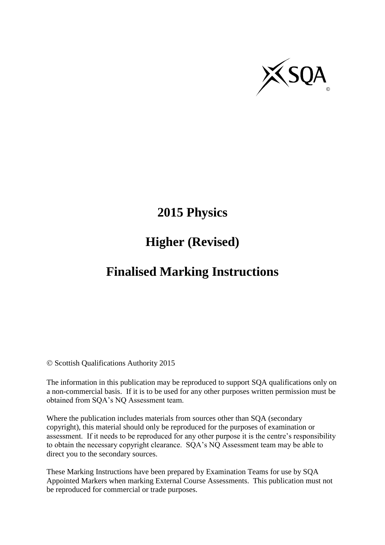

# **2015 Physics**

# **Higher (Revised)**

# **Finalised Marking Instructions**

© Scottish Qualifications Authority 2015

The information in this publication may be reproduced to support SQA qualifications only on a non-commercial basis. If it is to be used for any other purposes written permission must be obtained from SQA's NQ Assessment team.

Where the publication includes materials from sources other than SQA (secondary copyright), this material should only be reproduced for the purposes of examination or assessment. If it needs to be reproduced for any other purpose it is the centre's responsibility to obtain the necessary copyright clearance. SQA's NQ Assessment team may be able to direct you to the secondary sources.

These Marking Instructions have been prepared by Examination Teams for use by SQA Appointed Markers when marking External Course Assessments. This publication must not be reproduced for commercial or trade purposes.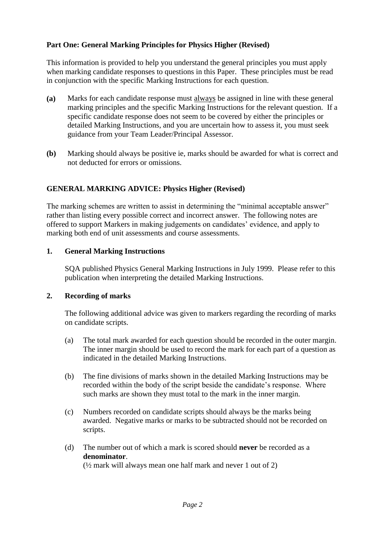### **Part One: General Marking Principles for Physics Higher (Revised)**

This information is provided to help you understand the general principles you must apply when marking candidate responses to questions in this Paper. These principles must be read in conjunction with the specific Marking Instructions for each question.

- **(a)** Marks for each candidate response must always be assigned in line with these general marking principles and the specific Marking Instructions for the relevant question. If a specific candidate response does not seem to be covered by either the principles or detailed Marking Instructions, and you are uncertain how to assess it, you must seek guidance from your Team Leader/Principal Assessor.
- **(b)** Marking should always be positive ie, marks should be awarded for what is correct and not deducted for errors or omissions.

### **GENERAL MARKING ADVICE: Physics Higher (Revised)**

The marking schemes are written to assist in determining the "minimal acceptable answer" rather than listing every possible correct and incorrect answer. The following notes are offered to support Markers in making judgements on candidates' evidence, and apply to marking both end of unit assessments and course assessments.

#### **1. General Marking Instructions**

SQA published Physics General Marking Instructions in July 1999. Please refer to this publication when interpreting the detailed Marking Instructions.

#### **2. Recording of marks**

The following additional advice was given to markers regarding the recording of marks on candidate scripts.

- (a) The total mark awarded for each question should be recorded in the outer margin. The inner margin should be used to record the mark for each part of a question as indicated in the detailed Marking Instructions.
- (b) The fine divisions of marks shown in the detailed Marking Instructions may be recorded within the body of the script beside the candidate's response. Where such marks are shown they must total to the mark in the inner margin.
- (c) Numbers recorded on candidate scripts should always be the marks being awarded. Negative marks or marks to be subtracted should not be recorded on scripts.
- (d) The number out of which a mark is scored should **never** be recorded as a **denominator**.

(½ mark will always mean one half mark and never 1 out of 2)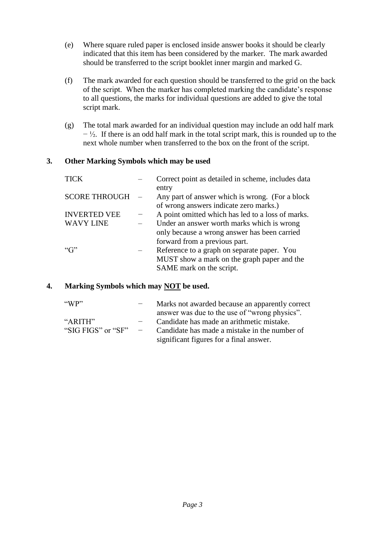- (e) Where square ruled paper is enclosed inside answer books it should be clearly indicated that this item has been considered by the marker. The mark awarded should be transferred to the script booklet inner margin and marked G.
- (f) The mark awarded for each question should be transferred to the grid on the back of the script. When the marker has completed marking the candidate's response to all questions, the marks for individual questions are added to give the total script mark.
- (g) The total mark awarded for an individual question may include an odd half mark  $-\frac{1}{2}$ . If there is an odd half mark in the total script mark, this is rounded up to the next whole number when transferred to the box on the front of the script.

#### **3. Other Marking Symbols which may be used**

| <b>TICK</b>          | Correct point as detailed in scheme, includes data<br>entry                               |
|----------------------|-------------------------------------------------------------------------------------------|
| <b>SCORE THROUGH</b> | Any part of answer which is wrong. (For a block<br>of wrong answers indicate zero marks.) |
| <b>INVERTED VEE</b>  | A point omitted which has led to a loss of marks.                                         |
| <b>WAVY LINE</b>     | Under an answer worth marks which is wrong                                                |
|                      | only because a wrong answer has been carried                                              |
|                      | forward from a previous part.                                                             |
| ``G"                 | Reference to a graph on separate paper. You                                               |
|                      | MUST show a mark on the graph paper and the                                               |
|                      | SAME mark on the script.                                                                  |

#### **4. Marking Symbols which may NOT be used.**

| $\alpha$ WP"       |                          | Marks not awarded because an apparently correct |
|--------------------|--------------------------|-------------------------------------------------|
|                    |                          | answer was due to the use of "wrong physics".   |
| " $ARITH"$         |                          | Candidate has made an arithmetic mistake.       |
| "SIG FIGS" or "SF" | $\overline{\phantom{0}}$ | Candidate has made a mistake in the number of   |
|                    |                          | significant figures for a final answer.         |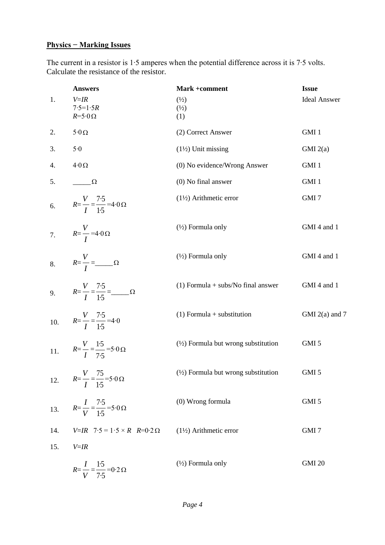# **Physics − Marking Issues**

The current in a resistor is 1∙5 amperes when the potential difference across it is 7∙5 volts. Calculate the resistance of the resistor.

|     | <b>Answers</b>                                                     | Mark +comment                                  | <b>Issue</b>        |
|-----|--------------------------------------------------------------------|------------------------------------------------|---------------------|
| 1.  | $V = IR$<br>$7.5 = 1.5R$<br>$R = 5.0 \Omega$                       | $\binom{1}{2}$<br>$\binom{1}{2}$<br>(1)        | <b>Ideal Answer</b> |
| 2.  | $5\!\cdot\!0\,\Omega$                                              | (2) Correct Answer                             | GMI 1               |
| 3.  | 5.0                                                                | $(1\frac{1}{2})$ Unit missing                  | GMI(2(a)            |
| 4.  | $4.0 \Omega$                                                       | (0) No evidence/Wrong Answer                   | GMI 1               |
| 5.  | $\Omega$                                                           | $(0)$ No final answer                          | GMI 1               |
|     | 6. $R=\frac{V}{I}=\frac{7.5}{1.5}=4.0 \Omega$                      | $(1\frac{1}{2})$ Arithmetic error              | GMI7                |
|     | 7. $R = \frac{V}{I} = 4.0 \Omega$                                  | $(\frac{1}{2})$ Formula only                   | GMI 4 and 1         |
|     | 8. $R = \frac{V}{I} = \frac{Q}{I}$                                 | $(\frac{1}{2})$ Formula only                   | GMI 4 and 1         |
|     | 9. $R = \frac{V}{I} = \frac{7.5}{1.5} = \frac{\Omega}{I}$          | $(1)$ Formula + subs/No final answer           | GMI 4 and 1         |
|     | 10. $R=\frac{V}{I}=\frac{7.5}{1.5}=4.0$                            | $(1)$ Formula + substitution                   | GMI $2(a)$ and 7    |
| 11. | $R = \frac{V}{I} = \frac{1.5}{7.5} = 5.0 \,\Omega$                 | $(\frac{1}{2})$ Formula but wrong substitution | GMI 5               |
| 12. | $R = \frac{V}{I} = \frac{75}{1.5} = 5.0 \,\Omega$                  | $(\frac{1}{2})$ Formula but wrong substitution | GMI 5               |
| 13. | $R = \frac{I}{V} = \frac{7 \cdot 5}{1 \cdot 5} = 5 \cdot 0 \Omega$ | (0) Wrong formula                              | GMI 5               |
| 14. | $V=IR$ 7.5 = 1.5 × R R=0.2 $\Omega$                                | $(1\frac{1}{2})$ Arithmetic error              | GMI <sub>7</sub>    |
| 15. | $V = IR$                                                           |                                                |                     |
|     | $R = \frac{I}{V} = \frac{1.5}{7.5} = 0.2 \Omega$                   | $(\frac{1}{2})$ Formula only                   | <b>GMI 20</b>       |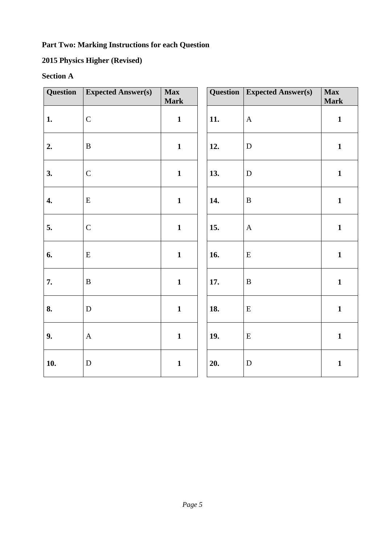## **Part Two: Marking Instructions for each Question**

# **2015 Physics Higher (Revised)**

# **Section A**

| Question           | <b>Expected Answer(s)</b> | Max<br><b>Mark</b> | Question | <b>Expected Answer(s)</b> | <b>Max</b><br><b>Mark</b> |
|--------------------|---------------------------|--------------------|----------|---------------------------|---------------------------|
| 1.                 | $\mathbf C$               | $\mathbf{1}$       | 11.      | $\mathbf A$               | $\mathbf{1}$              |
| 2.                 | $\, {\bf B}$              | $\mathbf{1}$       | 12.      | $\mathbf D$               | $\mathbf{1}$              |
| 3.                 | $\mathsf{C}$              | $\mathbf{1}$       | 13.      | $\mathbf D$               | $\mathbf{1}$              |
| $\boldsymbol{4}$ . | ${\bf E}$                 | $\mathbf{1}$       | 14.      | $\, {\bf B}$              | $\mathbf{1}$              |
| 5.                 | $\mathbf C$               | $\mathbf{1}$       | 15.      | $\mathbf{A}$              | $\mathbf{1}$              |
| 6.                 | ${\bf E}$                 | $\mathbf{1}$       | 16.      | ${\bf E}$                 | $\mathbf{1}$              |
| 7.                 | $\, {\bf B}$              | $\mathbf{1}$       | 17.      | $\, {\bf B}$              | $\mathbf{1}$              |
| 8.                 | ${\bf D}$                 | $\mathbf{1}$       | 18.      | ${\bf E}$                 | $\mathbf{1}$              |
| 9.                 | $\mathbf{A}$              | $\mathbf{1}$       | 19.      | ${\bf E}$                 | $\mathbf{1}$              |
| 10.                | ${\bf D}$                 | $\mathbf{1}$       | 20.      | ${\bf D}$                 | $\mathbf{1}$              |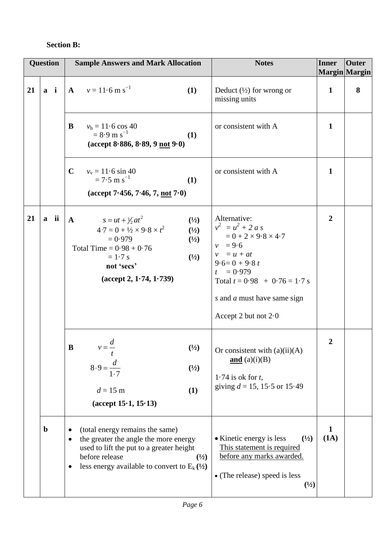### **Section B:**

| <b>Question</b> |             |       | <b>Sample Answers and Mark Allocation</b>                                                                                                                                                                                                          | <b>Notes</b>                                                                                                                                                                                                                   | <b>Inner</b>         | <b>Outer</b><br>Margin Margin |
|-----------------|-------------|-------|----------------------------------------------------------------------------------------------------------------------------------------------------------------------------------------------------------------------------------------------------|--------------------------------------------------------------------------------------------------------------------------------------------------------------------------------------------------------------------------------|----------------------|-------------------------------|
| 21              |             | $a$ i | $A$ $v = 11.6$ m s <sup>-1</sup><br>(1)                                                                                                                                                                                                            | Deduct $(\frac{1}{2})$ for wrong or<br>missing units                                                                                                                                                                           | $\mathbf{1}$         | 8                             |
|                 |             |       | $v_h = 11.6 \cos 40$<br>B<br>$= 8.9 \text{ m s}^{-1}$<br>(1)<br>$(\text{accept } 8.886, 8.89, 9 \text{ not } 9.0)$                                                                                                                                 | or consistent with A                                                                                                                                                                                                           | $\mathbf{1}$         |                               |
|                 |             |       | $\mathbf C$<br>$v_v = 11.6 \sin 40$<br>$= 7.5$ m s <sup>-1</sup><br>(1)<br>$(\text{accept 7-456}, 7-46, 7, \text{not } 7-0)$                                                                                                                       | or consistent with A                                                                                                                                                                                                           | $\mathbf{1}$         |                               |
| 21              |             | a ii  | $s = ut + \frac{1}{2}at^2$<br>$\mathbf{A}$<br>(1/2)<br>$47 = 0 + \frac{1}{2} \times 9.8 \times t^2$<br>(1/2)<br>$= 0.979$<br>$(\frac{1}{2})$<br>Total Time = $0.98 + 0.76$<br>$= 1.7$ s<br>(1/2)<br>not 'secs'<br>$(\text{accept 2}, 1.74, 1.739)$ | Alternative:<br>$v^2 = u^2 + 2 a s$<br>$= 0 + 2 \times 9.8 \times 4.7$<br>$v = 9.6$<br>$v = u + at$<br>$9.6=0+9.8t$<br>$t = 0.979$<br>Total $t = 0.98 + 0.76 = 1.7$ s<br>s and a must have same sign<br>Accept 2 but not $2.0$ | $\overline{2}$       |                               |
|                 |             |       | $\overline{d}$<br>$\bf{B}$<br>(1/2)<br>$8.9 = \frac{d}{1.7}$<br>$(\frac{1}{2})$<br>$d = 15$ m<br>(1)<br>$(\text{accept } 15 \cdot 1, 15 \cdot 13)$                                                                                                 | Or consistent with $(a)(ii)(A)$<br>$\underline{\text{and}}$ (a)(i)(B)<br>1.74 is ok for $t$ ,<br>giving $d = 15$ , 15.5 or 15.49                                                                                               | $\boldsymbol{2}$     |                               |
|                 | $\mathbf b$ |       | (total energy remains the same)<br>the greater the angle the more energy<br>used to lift the put to a greater height<br>before release<br>$\binom{1}{2}$<br>less energy available to convert to $E_k$ ( $\frac{1}{2}$ )                            | • Kinetic energy is less<br>$\binom{1}{2}$<br>This statement is required<br>before any marks awarded.<br>• (The release) speed is less<br>(1/2)                                                                                | $\mathbf{1}$<br>(1A) |                               |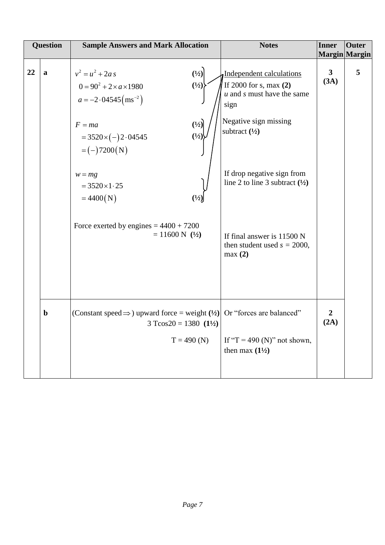|    | <b>Question</b> | <b>Sample Answers and Mark Allocation</b>                                                                                                                                                                                                                                                                                       | <b>Notes</b>                                                                                                                                                                                                                                                                                                         | <b>Inner</b>           | <b>Outer</b><br>Margin Margin |
|----|-----------------|---------------------------------------------------------------------------------------------------------------------------------------------------------------------------------------------------------------------------------------------------------------------------------------------------------------------------------|----------------------------------------------------------------------------------------------------------------------------------------------------------------------------------------------------------------------------------------------------------------------------------------------------------------------|------------------------|-------------------------------|
| 22 | a               | (1/2)<br>$v^2 = u^2 + 2a s$<br>$(\frac{1}{2})$<br>$0 = 90^2 + 2 \times a \times 1980$<br>$a = -2.04545 \text{ (ms}^{-2})$<br>(1/2)<br>$F = ma$<br>(1/2)<br>$=3520\times(-)2.04545$<br>$= (-)7200(N)$<br>$w = mg$<br>$= 3520 \times 1.25$<br>$=4400(N)$<br>Force exerted by engines = $4400 + 7200$<br>$= 11600 \text{ N}$ (1/2) | Independent calculations<br>If $2000$ for s, max $(2)$<br>$u$ and $s$ must have the same<br>sign<br>Negative sign missing<br>subtract $(\frac{1}{2})$<br>If drop negative sign from<br>line 2 to line 3 subtract $(\frac{1}{2})$<br>If final answer is $11500 \text{ N}$<br>then student used $s = 2000$ ,<br>max(2) | $\mathbf{3}$<br>(3A)   | 5                             |
|    | $\mathbf b$     | (Constant speed $\Rightarrow$ ) upward force = weight ( $\frac{1}{2}$ ) Or "forces are balanced"<br>$3 T\cos 20 = 1380 (1\frac{1}{2})$<br>$T = 490$ (N)                                                                                                                                                                         | If "T = 490 (N)" not shown,<br>then max $(1\frac{1}{2})$                                                                                                                                                                                                                                                             | $\overline{2}$<br>(2A) |                               |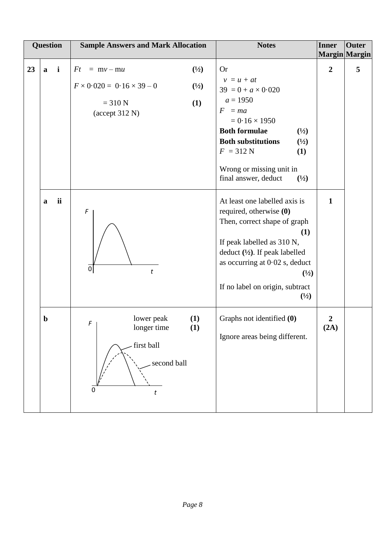|    |              | Question     | <b>Sample Answers and Mark Allocation</b>                                                                                                              | <b>Notes</b>                                                                                                                                                                                                                                                                                   | <b>Inner</b>             | <b>Outer</b><br>Margin Margin |
|----|--------------|--------------|--------------------------------------------------------------------------------------------------------------------------------------------------------|------------------------------------------------------------------------------------------------------------------------------------------------------------------------------------------------------------------------------------------------------------------------------------------------|--------------------------|-------------------------------|
| 23 | $\mathbf{a}$ | $\mathbf{i}$ | $\binom{1}{2}$<br>Ft<br>$= mv - mu$<br>$F \times 0.020 = 0.16 \times 39 - 0$<br>$\binom{1}{2}$<br>$= 310 N$<br>(1)<br>$(\text{accept } 312 \text{ N})$ | <b>Or</b><br>$v = u + at$<br>$39 = 0 + a \times 0.020$<br>$a = 1950$<br>$F = ma$<br>$= 0.16 \times 1950$<br><b>Both formulae</b><br>$\binom{1}{2}$<br><b>Both substitutions</b><br>$(\frac{1}{2})$<br>$F = 312 N$<br>(1)<br>Wrong or missing unit in<br>final answer, deduct<br>$\binom{1}{2}$ | $\overline{2}$           | 5                             |
|    | a            | ii           | F<br>$\boldsymbol{0}$<br>$\boldsymbol{t}$                                                                                                              | At least one labelled axis is<br>required, otherwise (0)<br>Then, correct shape of graph<br>(1)<br>If peak labelled as 310 N,<br>deduct $(\frac{1}{2})$ . If peak labelled<br>as occurring at $0.02$ s, deduct<br>(1/2)<br>If no label on origin, subtract<br>$\binom{1}{2}$                   | $\mathbf{1}$             |                               |
|    | $\mathbf b$  |              | lower peak<br>(1)<br>F<br>(1)<br>longer time<br>first ball<br>second ball<br>t                                                                         | Graphs not identified (0)<br>Ignore areas being different.                                                                                                                                                                                                                                     | $\boldsymbol{2}$<br>(2A) |                               |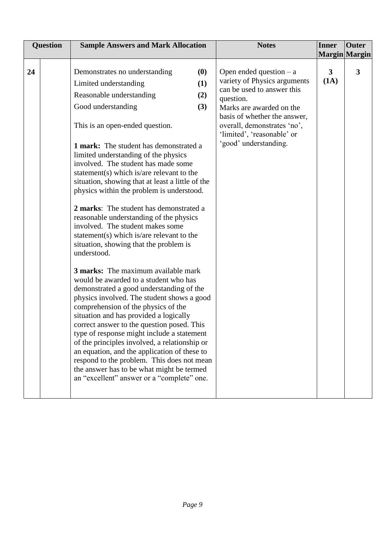| <b>Question</b><br><b>Sample Answers and Mark Allocation</b><br><b>Notes</b><br><b>Inner</b>                                                                                                                                                                                                                                                                                                                                                                                                                                                                                                                                                                                                                                                                                                                                                                                                                                                                                                                                                                                                                                                                                                                                                                                                                                                                                                                                                                                                                                                                               | <b>Outer</b>                  |
|----------------------------------------------------------------------------------------------------------------------------------------------------------------------------------------------------------------------------------------------------------------------------------------------------------------------------------------------------------------------------------------------------------------------------------------------------------------------------------------------------------------------------------------------------------------------------------------------------------------------------------------------------------------------------------------------------------------------------------------------------------------------------------------------------------------------------------------------------------------------------------------------------------------------------------------------------------------------------------------------------------------------------------------------------------------------------------------------------------------------------------------------------------------------------------------------------------------------------------------------------------------------------------------------------------------------------------------------------------------------------------------------------------------------------------------------------------------------------------------------------------------------------------------------------------------------------|-------------------------------|
|                                                                                                                                                                                                                                                                                                                                                                                                                                                                                                                                                                                                                                                                                                                                                                                                                                                                                                                                                                                                                                                                                                                                                                                                                                                                                                                                                                                                                                                                                                                                                                            |                               |
| (0)<br>24<br>Demonstrates no understanding<br>Open ended question $- a$<br>3<br>variety of Physics arguments<br>(1A)<br>(1)<br>Limited understanding<br>can be used to answer this<br>Reasonable understanding<br>(2)<br>question.<br>Good understanding<br>(3)<br>Marks are awarded on the<br>basis of whether the answer,<br>overall, demonstrates 'no',<br>This is an open-ended question.<br>'limited', 'reasonable' or<br>'good' understanding.<br><b>1 mark:</b> The student has demonstrated a<br>limited understanding of the physics<br>involved. The student has made some<br>statement(s) which is/are relevant to the<br>situation, showing that at least a little of the<br>physics within the problem is understood.<br>2 marks: The student has demonstrated a<br>reasonable understanding of the physics<br>involved. The student makes some<br>statement(s) which is/are relevant to the<br>situation, showing that the problem is<br>understood.<br><b>3 marks:</b> The maximum available mark<br>would be awarded to a student who has<br>demonstrated a good understanding of the<br>physics involved. The student shows a good<br>comprehension of the physics of the<br>situation and has provided a logically<br>correct answer to the question posed. This<br>type of response might include a statement<br>of the principles involved, a relationship or<br>an equation, and the application of these to<br>respond to the problem. This does not mean<br>the answer has to be what might be termed<br>an "excellent" answer or a "complete" one. | Margin Margin<br>$\mathbf{3}$ |
|                                                                                                                                                                                                                                                                                                                                                                                                                                                                                                                                                                                                                                                                                                                                                                                                                                                                                                                                                                                                                                                                                                                                                                                                                                                                                                                                                                                                                                                                                                                                                                            |                               |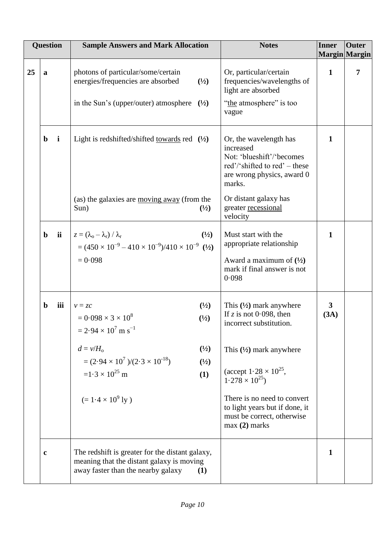|    | <b>Question</b> |              | <b>Sample Answers and Mark Allocation</b>                                                                                                                                                                                                                                           | <b>Notes</b>                                                                                                                                                                                                                                                                                                 | <b>Inner</b>         | <b>Outer</b><br>Margin Margin |
|----|-----------------|--------------|-------------------------------------------------------------------------------------------------------------------------------------------------------------------------------------------------------------------------------------------------------------------------------------|--------------------------------------------------------------------------------------------------------------------------------------------------------------------------------------------------------------------------------------------------------------------------------------------------------------|----------------------|-------------------------------|
| 25 | a               |              | photons of particular/some/certain<br>energies/frequencies are absorbed<br>$\binom{1}{2}$<br>in the Sun's (upper/outer) atmosphere<br>$(\frac{1}{2})$                                                                                                                               | Or, particular/certain<br>frequencies/wavelengths of<br>light are absorbed<br>"the atmosphere" is too<br>vague                                                                                                                                                                                               | $\mathbf{1}$         | 7                             |
|    | $\mathbf b$     | $\mathbf{i}$ | Light is redshifted/shifted <u>towards</u> red $(1/2)$                                                                                                                                                                                                                              | Or, the wavelength has<br>increased<br>Not: 'blueshift'/'becomes<br>red'/'shifted to red' – these<br>are wrong physics, award 0<br>marks.                                                                                                                                                                    | $\mathbf{1}$         |                               |
|    |                 |              | (as) the galaxies are moving away (from the<br>$\binom{1}{2}$<br>Sun)                                                                                                                                                                                                               | Or distant galaxy has<br>greater recessional<br>velocity                                                                                                                                                                                                                                                     |                      |                               |
|    | $\mathbf b$     | ii           | $z = (\lambda_{\rm o} - \lambda_{\rm r}) / \lambda_{\rm r}$<br>$\binom{1}{2}$<br>$=(450 \times 10^{-9} - 410 \times 10^{-9})/410 \times 10^{-9}$ (1/2)<br>$= 0.098$                                                                                                                 | Must start with the<br>appropriate relationship<br>Award a maximum of $(\frac{1}{2})$<br>mark if final answer is not<br>0.098                                                                                                                                                                                | $\mathbf{1}$         |                               |
|    | $\mathbf b$     | iii          | $\binom{1}{2}$<br>$v = zc$<br>$= 0.098 \times 3 \times 10^8$<br>$\binom{1}{2}$<br>$= 2.94 \times 10^7$ m s <sup>-1</sup><br>$\binom{1}{2}$<br>$d = v/H_0$<br>$=(2.94\times10^7)/(2.3\times10^{-18})$<br>(1/2)<br>$=1.3 \times 10^{25}$ m<br>(1)<br>$(= 1.4 \times 10^9 \text{ ly})$ | This $(\frac{1}{2})$ mark anywhere<br>If z is not 0.098, then<br>incorrect substitution.<br>This $(\frac{1}{2})$ mark anywhere<br>(accept $1.28 \times 10^{25}$ ,<br>$1.278 \times 10^{25}$<br>There is no need to convert<br>to light years but if done, it<br>must be correct, otherwise<br>$max(2)$ marks | $\mathbf{3}$<br>(3A) |                               |
|    | $\mathbf c$     |              | The redshift is greater for the distant galaxy,<br>meaning that the distant galaxy is moving<br>away faster than the nearby galaxy<br>(1)                                                                                                                                           |                                                                                                                                                                                                                                                                                                              | $\mathbf{1}$         |                               |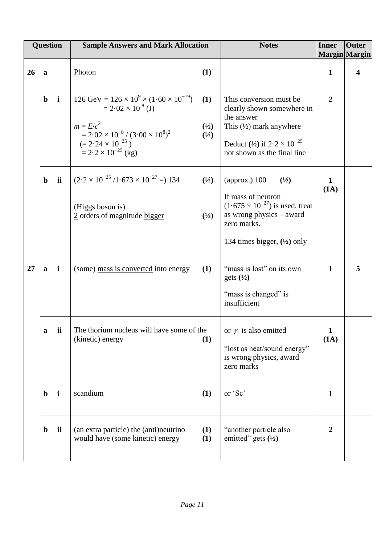|    | <b>Question</b> |             | <b>Sample Answers and Mark Allocation</b>                                                                                                                                                                                                                         | <b>Notes</b>                                                                                                                                                                      | <b>Inner</b>         | <b>Outer</b><br>Margin Margin |
|----|-----------------|-------------|-------------------------------------------------------------------------------------------------------------------------------------------------------------------------------------------------------------------------------------------------------------------|-----------------------------------------------------------------------------------------------------------------------------------------------------------------------------------|----------------------|-------------------------------|
| 26 | a               |             | Photon<br>(1)                                                                                                                                                                                                                                                     |                                                                                                                                                                                   | $\mathbf{1}$         | 4                             |
|    | $\mathbf b$     | $\mathbf i$ | $126 \text{ GeV} = 126 \times 10^9 \times (1.60 \times 10^{-19})$<br>(1)<br>$= 2.02 \times 10^{-8}$ (J)<br>$m = E/c^2$<br>$\binom{1}{2}$<br>$= 2.02 \times 10^{-8} / (3.00 \times 10^8)^2$<br>(1/2)<br>$(= 2.24 \times 10^{-25})$<br>$= 2.2 \times 10^{-25}$ (kg) | This conversion must be<br>clearly shown somewhere in<br>the answer<br>This $(\frac{1}{2})$ mark anywhere<br>Deduct (1/2) if $2.2 \times 10^{-25}$<br>not shown as the final line | $\overline{2}$       |                               |
|    | $\mathbf b$     | ii          | $(2.2 \times 10^{-25} / 1.673 \times 10^{-27} = 134$<br>(1/2)<br>(Higgs boson is)<br>2 orders of magnitude bigger<br>(1/2)                                                                                                                                        | (approx.) $100$<br>(1/2)<br>If mass of neutron<br>$(1.675 \times 10^{-27})$ is used, treat<br>as wrong physics $-$ award<br>zero marks.<br>134 times bigger, $(\frac{1}{2})$ only | 1<br>(1A)            |                               |
| 27 | a               | i           | (some) mass is converted into energy<br>(1)                                                                                                                                                                                                                       | "mass is lost" on its own<br>gets $(\frac{1}{2})$<br>"mass is changed" is<br>insufficient                                                                                         | $\mathbf{1}$         | 5                             |
|    | a               | ii          | The thorium nucleus will have some of the<br>(kinetic) energy<br>(1)                                                                                                                                                                                              | or $\gamma$ is also emitted<br>"lost as heat/sound energy"<br>is wrong physics, award<br>zero marks                                                                               | $\mathbf{1}$<br>(1A) |                               |
|    | $\mathbf b$     | i           | scandium<br>(1)                                                                                                                                                                                                                                                   | or 'Sc'                                                                                                                                                                           | $\mathbf{1}$         |                               |
|    | $\mathbf b$     | ii          | (1)<br>(an extra particle) the (anti)neutrino<br>would have (some kinetic) energy<br>(1)                                                                                                                                                                          | "another particle also<br>emitted" gets $(\frac{1}{2})$                                                                                                                           | $\overline{2}$       |                               |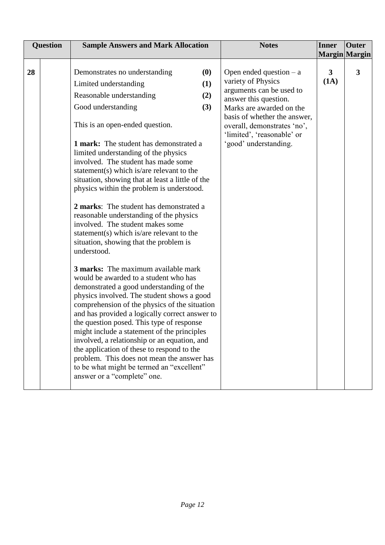|    | <b>Question</b> | <b>Sample Answers and Mark Allocation</b>                                                                                                                                                                                                                                                                                                                                                                                                                                                                                                                                                                                                                                                                                                                                                                                                  |                          | <b>Notes</b>                                                                                                                                                                                                                                           | Inner                                 | <b>Outer</b> |
|----|-----------------|--------------------------------------------------------------------------------------------------------------------------------------------------------------------------------------------------------------------------------------------------------------------------------------------------------------------------------------------------------------------------------------------------------------------------------------------------------------------------------------------------------------------------------------------------------------------------------------------------------------------------------------------------------------------------------------------------------------------------------------------------------------------------------------------------------------------------------------------|--------------------------|--------------------------------------------------------------------------------------------------------------------------------------------------------------------------------------------------------------------------------------------------------|---------------------------------------|--------------|
|    |                 |                                                                                                                                                                                                                                                                                                                                                                                                                                                                                                                                                                                                                                                                                                                                                                                                                                            |                          |                                                                                                                                                                                                                                                        |                                       |              |
| 28 |                 | Demonstrates no understanding<br>Limited understanding<br>Reasonable understanding<br>Good understanding<br>This is an open-ended question.<br><b>1 mark:</b> The student has demonstrated a<br>limited understanding of the physics<br>involved. The student has made some<br>statement(s) which is/are relevant to the<br>situation, showing that at least a little of the<br>physics within the problem is understood.<br>2 marks: The student has demonstrated a<br>reasonable understanding of the physics<br>involved. The student makes some<br>statement(s) which is/are relevant to the<br>situation, showing that the problem is<br>understood.<br><b>3 marks:</b> The maximum available mark<br>would be awarded to a student who has<br>demonstrated a good understanding of the<br>physics involved. The student shows a good | (0)<br>(1)<br>(2)<br>(3) | Open ended question $- a$<br>variety of Physics<br>arguments can be used to<br>answer this question.<br>Marks are awarded on the<br>basis of whether the answer,<br>overall, demonstrates 'no',<br>'limited', 'reasonable' or<br>'good' understanding. | Margin Margin<br>$\mathbf{3}$<br>(1A) | 3            |
|    |                 | comprehension of the physics of the situation<br>and has provided a logically correct answer to<br>the question posed. This type of response<br>might include a statement of the principles<br>involved, a relationship or an equation, and<br>the application of these to respond to the<br>problem. This does not mean the answer has<br>to be what might be termed an "excellent"<br>answer or a "complete" one.                                                                                                                                                                                                                                                                                                                                                                                                                        |                          |                                                                                                                                                                                                                                                        |                                       |              |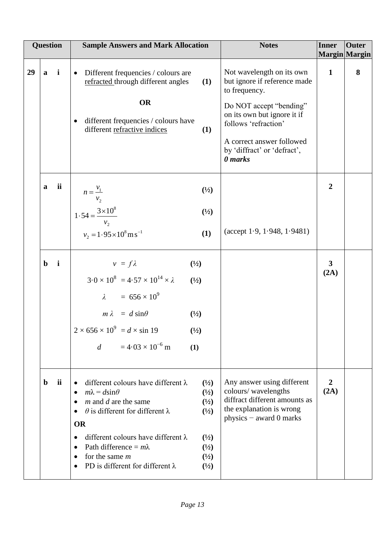|    |              | <b>Question</b> | <b>Sample Answers and Mark Allocation</b>                                                                                                                                                                                                                                                                                                                                                                                                                                           | <b>Notes</b>                                                                                                                                                                                                                        | <b>Inner</b>           | <b>Outer</b><br>Margin Margin |
|----|--------------|-----------------|-------------------------------------------------------------------------------------------------------------------------------------------------------------------------------------------------------------------------------------------------------------------------------------------------------------------------------------------------------------------------------------------------------------------------------------------------------------------------------------|-------------------------------------------------------------------------------------------------------------------------------------------------------------------------------------------------------------------------------------|------------------------|-------------------------------|
| 29 | $\mathbf{a}$ | $\mathbf{i}$    | Different frequencies / colours are<br>$\bullet$<br>refracted through different angles<br>(1)<br><b>OR</b><br>different frequencies / colours have<br>different refractive indices<br>(1)                                                                                                                                                                                                                                                                                           | Not wavelength on its own<br>but ignore if reference made<br>to frequency.<br>Do NOT accept "bending"<br>on its own but ignore it if<br>follows 'refraction'<br>A correct answer followed<br>by 'diffract' or 'defract',<br>0 marks | $\mathbf{1}$           | 8                             |
|    | $\mathbf a$  | <i>ii</i>       | $n = \frac{v_1}{v_2}$<br>$\binom{1}{2}$<br>$1.54 = \frac{3 \times 10^8}{100}$<br>$\binom{1}{2}$<br>$v_2 = 1.95 \times 10^8 \,\mathrm{m\,s}^{-1}$<br>(1)                                                                                                                                                                                                                                                                                                                             | $(\text{accept } 1.9, 1.948, 1.9481)$                                                                                                                                                                                               | $\boldsymbol{2}$       |                               |
|    | $\mathbf b$  | $\mathbf{i}$    | $v = f\lambda$<br>$\binom{1}{2}$<br>$3.0 \times 10^8 = 4.57 \times 10^{14} \times \lambda$<br>(1/2)<br>$\lambda = 656 \times 10^9$<br>$m \lambda = d \sin \theta$<br>$\binom{1}{2}$<br>$2 \times 656 \times 10^9 = d \times \sin 19$<br>$(\frac{1}{2})$<br>$=4.03\times10^{-6}$ m<br>d<br>(1)                                                                                                                                                                                       |                                                                                                                                                                                                                                     | $\mathbf{3}$<br>(2A)   |                               |
|    | $\mathbf b$  | ii              | different colours have different $\lambda$<br>$\binom{1}{2}$<br>$\bullet$<br>$m\lambda = d\sin\theta$<br>(1/2)<br>$\bullet$<br>$m$ and $d$ are the same<br>(1/2)<br>$\theta$ is different for different $\lambda$<br>$\binom{1}{2}$<br><b>OR</b><br>different colours have different $\lambda$<br>$\binom{1}{2}$<br>Path difference = $m\lambda$<br>$\binom{1}{2}$<br>$(\frac{1}{2})$<br>for the same $m$<br>$\bullet$<br>PD is different for different $\lambda$<br>$\binom{1}{2}$ | Any answer using different<br>colours/wavelengths<br>diffract different amounts as<br>the explanation is wrong<br>physics - award 0 marks                                                                                           | $\overline{2}$<br>(2A) |                               |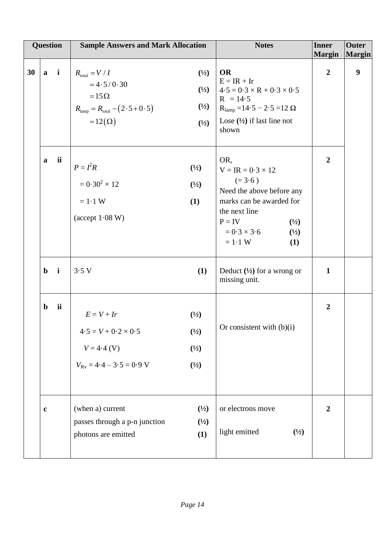| <b>Question</b> |             |             | <b>Sample Answers and Mark Allocation</b>                                                                                                   |                                                                        | <b>Notes</b>                                                                                                                                                                                           | <b>Inner</b><br><b>Margin</b> | <b>Outer</b><br>Margin |
|-----------------|-------------|-------------|---------------------------------------------------------------------------------------------------------------------------------------------|------------------------------------------------------------------------|--------------------------------------------------------------------------------------------------------------------------------------------------------------------------------------------------------|-------------------------------|------------------------|
| 30              | $a$ i       |             | $R_{\text{total}} = V / I$<br>$=4.5/0.30$<br>$=15\Omega$<br>$R_{\text{lamp}} = R_{\text{total}} - (2 \cdot 5 + 0 \cdot 5)$<br>$=12(\Omega)$ | $(\frac{1}{2})$<br>$\binom{1}{2}$<br>$(\frac{1}{2})$<br>(1/2)          | <b>OR</b><br>$E = IR + Ir$<br>$4.5 = 0.3 \times R + 0.3 \times 0.5$<br>$R = 14.5$<br>$R_{\text{lamp}} = 14.5 - 2.5 = 12 \Omega$<br>Lose $(\frac{1}{2})$ if last line not<br>shown                      | $\overline{2}$                | $\boldsymbol{9}$       |
|                 | a           | ii          | $P = I^2 R$<br>$= 0.30^2 \times 12$<br>$= 1.1 W$<br>$(\text{accept } 1.08 \text{ W})$                                                       | $\binom{1}{2}$<br>$\binom{1}{2}$<br>(1)                                | OR,<br>$V = IR = 0.3 \times 12$<br>$(=3.6)$<br>Need the above before any<br>marks can be awarded for<br>the next line<br>$P = IV$<br>$\binom{1}{2}$<br>$= 0.3 \times 3.6$<br>(1/2)<br>$= 1.1 W$<br>(1) | $\overline{2}$                |                        |
|                 | $\mathbf b$ | $\mathbf i$ | 3.5V                                                                                                                                        | (1)                                                                    | Deduct $(\frac{1}{2})$ for a wrong or<br>missing unit.                                                                                                                                                 | $\mathbf{1}$                  |                        |
|                 | $\mathbf b$ | ii          | $E = V + Ir$<br>$4.5 = V + 0.2 \times 0.5$<br>$V = 4.4$ (V)<br>$V_{\text{Rv}} = 4.4 - 3.5 = 0.9$ V                                          | $\binom{1}{2}$<br>$(\frac{1}{2})$<br>$\binom{1}{2}$<br>$(\frac{1}{2})$ | Or consistent with $(b)(i)$                                                                                                                                                                            | $\overline{2}$                |                        |
|                 | $\mathbf c$ |             | (when a) current<br>passes through a p-n junction<br>photons are emitted                                                                    | $(\frac{1}{2})$<br>(1/2)<br>(1)                                        | or electrons move<br>light emitted<br>$\binom{1}{2}$                                                                                                                                                   | $\boldsymbol{2}$              |                        |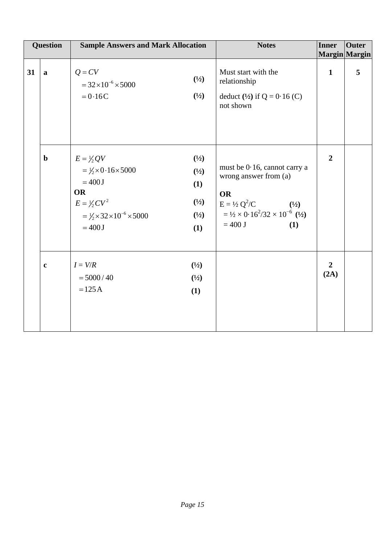| <b>Question</b> |              | <b>Sample Answers and Mark Allocation</b>                                                                                                                                         |                                                                                        | <b>Notes</b>                                                                                                                                                                                         | <b>Inner</b>           | Outer<br>Margin Margin |
|-----------------|--------------|-----------------------------------------------------------------------------------------------------------------------------------------------------------------------------------|----------------------------------------------------------------------------------------|------------------------------------------------------------------------------------------------------------------------------------------------------------------------------------------------------|------------------------|------------------------|
| 31              | $\mathbf{a}$ | $Q = CV$<br>$= 32 \times 10^{-6} \times 5000$<br>$= 0.16C$                                                                                                                        | $(\frac{1}{2})$<br>$(\frac{1}{2})$                                                     | Must start with the<br>relationship<br>deduct $(\frac{1}{2})$ if Q = 0.16 (C)<br>not shown                                                                                                           | $\mathbf{1}$           | 5                      |
|                 | $\mathbf b$  | $E = \frac{1}{2}QV$<br>$=\frac{1}{2} \times 0.16 \times 5000$<br>$=400J$<br><b>OR</b><br>$E = \frac{1}{2}CV^2$<br>$= \frac{1}{2} \times 32 \times 10^{-6} \times 5000$<br>$=400J$ | $(\frac{1}{2})$<br>$(\frac{1}{2})$<br>(1)<br>$(\frac{1}{2})$<br>$(\frac{1}{2})$<br>(1) | must be 0.16, cannot carry a<br>wrong answer from (a)<br><b>OR</b><br>$E = \frac{1}{2} Q^2/C$<br>(1/2)<br>$=$ 1/2 $\times$ 0.16 <sup>2</sup> /32 $\times$ 10 <sup>-6</sup> (1/2)<br>$= 400$ J<br>(1) | $\overline{2}$         |                        |
|                 | $\mathbf c$  | $I = V/R$<br>$= 5000 / 40$<br>$=125A$                                                                                                                                             | $\binom{1}{2}$<br>$(\frac{1}{2})$<br>(1)                                               |                                                                                                                                                                                                      | $\overline{2}$<br>(2A) |                        |